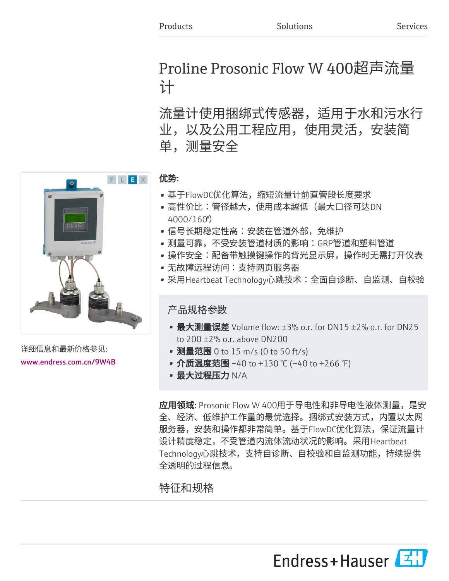# Proline Prosonic Flow W 400超声流量 计

流量计使用捆绑式传感器,适用于水和污水行 业,以及公用工程应用,使用灵活,安装简 单,测量安全



详细信息和最新价格参见: [www.endress.com.cn/9W4B](https://www.endress.com.cn/9W4B) 优势:

- 基于FlowDC优化算法,缩短流量计前直管段长度要求
- 高性价比:管径越大,使用成本越低(最大口径可达DN 4000/160")
- 信号长期稳定性高:安装在管道外部,免维护
- 测量可靠,不受安装管道材质的影响:GRP管道和塑料管道
- 操作安全:配备带触摸键操作的背光显示屏,操作时无需打开仪表
- 无故障远程访问:支持网页服务器
- 采用Heartbeat Technology心跳技术:全面自诊断、自监测、自校验

产品规格参数

- 最大测量误差 Volume flow:  $\pm 3\%$  o.r. for DN15  $\pm 2\%$  o.r. for DN25 to 200 ±2% o.r. above DN200
- 测量范围 0 to 15 m/s (0 to 50 ft/s)
- 介质温度范围 –40 to +130 ℃ (–40 to +266 °F)
- 最大过程压力 N/A

应用领域: Prosonic Flow W 400用于导电性和非导电性液体测量,是安 全、经济、低维护工作量的最优选择。捆绑式安装方式,内置以太网 服务器,安装和操作都非常简单。基于FlowDC优化算法,保证流量计 设计精度稳定,不受管道内流体流动状况的影响。采用Heartbeat Technology心跳技术,支持自诊断、自校验和自监测功能,持续提供 全透明的过程信息。

特征和规格



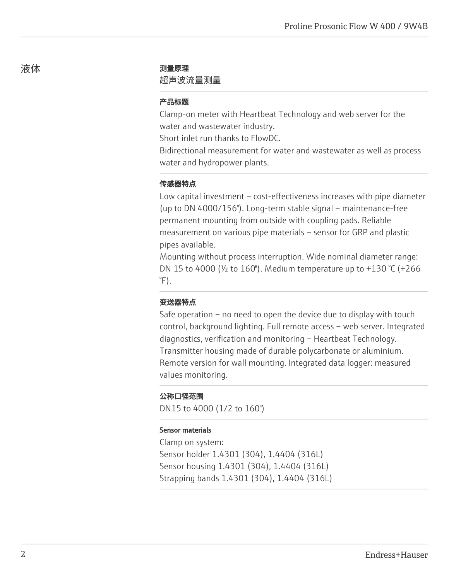# 液体 しょうしゃ かいしゃ 測量原理

### 超声波流量测量

# 产品标题

Clamp-on meter with Heartbeat Technology and web server for the water and wastewater industry.

Short inlet run thanks to FlowDC.

Bidirectional measurement for water and wastewater as well as process water and hydropower plants.

### 传感器特点

Low capital investment – cost-effectiveness increases with pipe diameter (up to DN 4000/156"). Long-term stable signal – maintenance-free permanent mounting from outside with coupling pads. Reliable measurement on various pipe materials – sensor for GRP and plastic pipes available.

Mounting without process interruption. Wide nominal diameter range: DN 15 to 4000 (½ to 160"). Medium temperature up to +130 °C (+266  $\degree$ F).

### 变送器特点

Safe operation – no need to open the device due to display with touch control, background lighting. Full remote access – web server. Integrated diagnostics, verification and monitoring – Heartbeat Technology. Transmitter housing made of durable polycarbonate or aluminium. Remote version for wall mounting. Integrated data logger: measured values monitoring.

### 公称口径范围

DN15 to 4000 (1/2 to 160")

#### Sensor materials

Clamp on system: Sensor holder 1.4301 (304), 1.4404 (316L) Sensor housing 1.4301 (304), 1.4404 (316L) Strapping bands 1.4301 (304), 1.4404 (316L)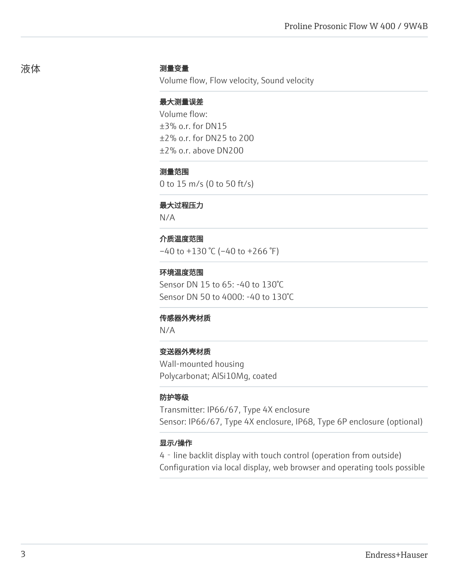#### 测量变量

Volume flow, Flow velocity, Sound velocity

### 最大测量误差

Volume flow:  $+3\%$  o.r. for DN15 ±2% o.r. for DN25 to 200 ±2% o.r. above DN200

### 测量范围

0 to 15 m/s (0 to 50 ft/s)

# 最大过程压力

N/A

### 介质温度范围

 $-40$  to  $+130$  °C ( $-40$  to  $+266$  °F)

### 环境温度范围

Sensor DN 15 to 65: -40 to 130°C Sensor DN 50 to 4000: -40 to 130°C

#### 传感器外壳材质

N/A

# 变送器外壳材质

Wall-mounted housing Polycarbonat; AlSi10Mg, coated

### 防护等级

Transmitter: IP66/67, Type 4X enclosure Sensor: IP66/67, Type 4X enclosure, IP68, Type 6P enclosure (optional)

#### 显示/操作

4‐line backlit display with touch control (operation from outside) Configuration via local display, web browser and operating tools possible